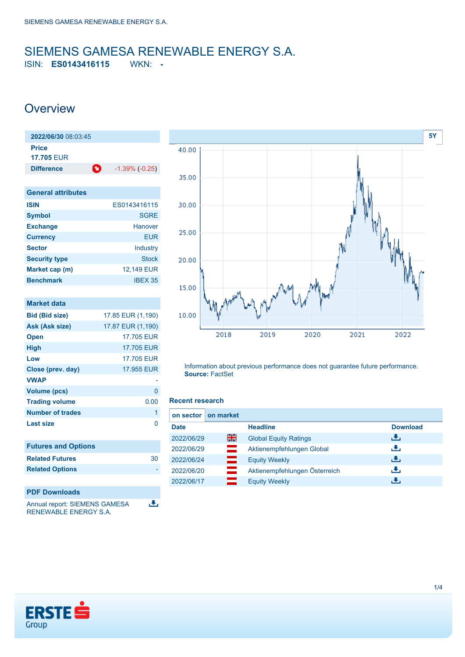# <span id="page-0-0"></span>SIEMENS GAMESA RENEWABLE ENERGY S.A.

ISIN: **ES0143416115** WKN: **-**

### **Overview**

| 2022/06/30 08:03:45               |                       |
|-----------------------------------|-----------------------|
| <b>Price</b><br><b>17.705 FUR</b> |                       |
| O<br><b>Difference</b>            | $-1.39\%$ ( $-0.25$ ) |
|                                   |                       |
| <b>General attributes</b>         |                       |
| <b>ISIN</b>                       | ES0143416115          |
| <b>Symbol</b>                     | <b>SGRE</b>           |
| <b>Exchange</b>                   | Hanover               |
| <b>Currency</b>                   | <b>EUR</b>            |
| <b>Sector</b>                     | Industry              |
| <b>Security type</b>              | <b>Stock</b>          |
| Market cap (m)                    | 12,149 EUR            |
| <b>Benchmark</b>                  | <b>IBEX 35</b>        |
|                                   |                       |
| <b>Market data</b>                |                       |
| <b>Bid (Bid size)</b>             | 17.85 EUR (1,190)     |
| Ask (Ask size)                    | 17.87 EUR (1,190)     |
| Open                              | 17.705 EUR            |
| <b>High</b>                       | <b>17.705 EUR</b>     |
| Low                               | 17.705 FUR            |
| Close (prev. day)                 | 17.955 EUR            |
| <b>VWAP</b>                       |                       |
| <b>Volume (pcs)</b>               | 0                     |
| <b>Trading volume</b>             | 0.00                  |
| <b>Number of trades</b>           | 1                     |
| <b>Last size</b>                  | 0                     |
|                                   |                       |
| <b>Futures and Options</b>        |                       |
| <b>Related Futures</b>            | 30                    |
| <b>Related Options</b>            |                       |
|                                   |                       |

### **PDF Downloads**

医 Annual report: SIEMENS GAMESA RENEWABLE ENERGY S.A.



Information about previous performance does not guarantee future performance. **Source:** FactSet

#### **Recent research**

| on sector   | on market |                               |                 |
|-------------|-----------|-------------------------------|-----------------|
| <b>Date</b> |           | <b>Headline</b>               | <b>Download</b> |
| 2022/06/29  | 을중        | <b>Global Equity Ratings</b>  | æ.              |
| 2022/06/29  | $\equiv$  | Aktienempfehlungen Global     | رنان            |
| 2022/06/24  | —         | <b>Equity Weekly</b>          | Æ,              |
| 2022/06/20  | $\equiv$  | Aktienempfehlungen Österreich | æ,              |
| 2022/06/17  |           | <b>Equity Weekly</b>          | Æ.              |

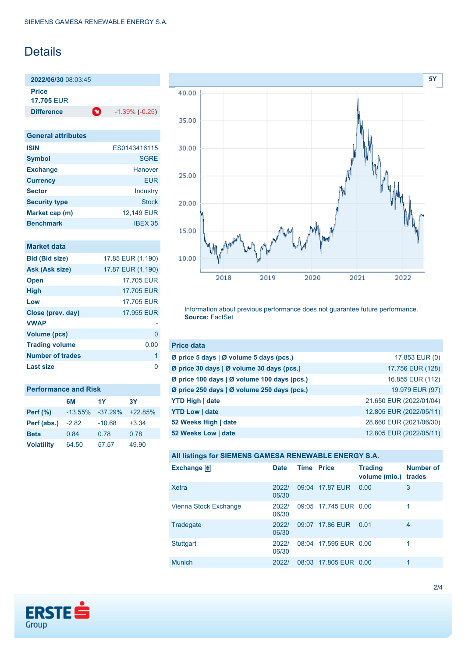# Details

**2022/06/30** 08:03:45 **Price**

**17.705** EUR

**Difference 1.39% (-0.25)** 

| <b>General attributes</b> |              |
|---------------------------|--------------|
| <b>ISIN</b>               | FS0143416115 |
| <b>Symbol</b>             | <b>SGRE</b>  |
| <b>Exchange</b>           | Hanover      |
| <b>Currency</b>           | <b>EUR</b>   |
| <b>Sector</b>             | Industry     |
| <b>Security type</b>      | <b>Stock</b> |
| Market cap (m)            | 12,149 EUR   |
| <b>Benchmark</b>          | IBFX 35      |

### **Market data**

| <b>Bid (Bid size)</b>   | 17.85 EUR (1,190) |
|-------------------------|-------------------|
| Ask (Ask size)          | 17.87 EUR (1,190) |
| <b>Open</b>             | 17.705 EUR        |
| <b>High</b>             | 17.705 EUR        |
| Low                     | 17.705 EUR        |
| Close (prev. day)       | 17.955 EUR        |
| <b>VWAP</b>             |                   |
| <b>Volume (pcs)</b>     | O                 |
| <b>Trading volume</b>   | 0.00              |
| <b>Number of trades</b> | 1                 |
| Last size               | ∩                 |

| <b>Performance and Risk</b> |           |           |           |  |
|-----------------------------|-----------|-----------|-----------|--|
|                             | 6M        | 1Y        | <b>3Y</b> |  |
| <b>Perf</b> (%)             | $-13.55%$ | $-37.29%$ | $+22.85%$ |  |
| Perf (abs.)                 | $-2.82$   | $-10.68$  | $+3.34$   |  |
| <b>Beta</b>                 | 0.84      | 0.78      | 0.78      |  |
| <b>Volatility</b>           | 64.50     | 57.57     | 49.90     |  |



Information about previous performance does not guarantee future performance. **Source:** FactSet

| <b>Price data</b>                                         |                         |
|-----------------------------------------------------------|-------------------------|
| $\emptyset$ price 5 days $\emptyset$ volume 5 days (pcs.) | 17.853 EUR (0)          |
| Ø price 30 days   Ø volume 30 days (pcs.)                 | 17.756 EUR (128)        |
| Ø price 100 days   Ø volume 100 days (pcs.)               | 16.855 EUR (112)        |
| Ø price 250 days   Ø volume 250 days (pcs.)               | 19.979 EUR (97)         |
| <b>YTD High   date</b>                                    | 21.650 EUR (2022/01/04) |
| <b>YTD Low   date</b>                                     | 12.805 EUR (2022/05/11) |
| 52 Weeks High   date                                      | 28.660 EUR (2021/06/30) |
| 52 Weeks Low   date                                       | 12.805 EUR (2022/05/11) |

**All listings for SIEMENS GAMESA RENEWABLE ENERGY S.A.**

| Exchange $\Box$       | <b>Date</b>    | <b>Time Price</b> |                       | <b>Trading</b><br>volume (mio.) | <b>Number of</b><br>trades |
|-----------------------|----------------|-------------------|-----------------------|---------------------------------|----------------------------|
| Xetra                 | 2022/<br>06/30 |                   | 09:04 17.87 EUR       | 0.00                            | 3                          |
| Vienna Stock Exchange | 2022/<br>06/30 |                   | 09:05 17.745 EUR 0.00 |                                 | 1                          |
| Tradegate             | 2022/<br>06/30 | 09:07             | 17,86 EUR             | 0.01                            | 4                          |
| <b>Stuttgart</b>      | 2022/<br>06/30 |                   | 08:04 17.595 EUR 0.00 |                                 | 1                          |
| <b>Munich</b>         | 2022/          |                   | 08:03 17.805 EUR 0.00 |                                 | 1                          |

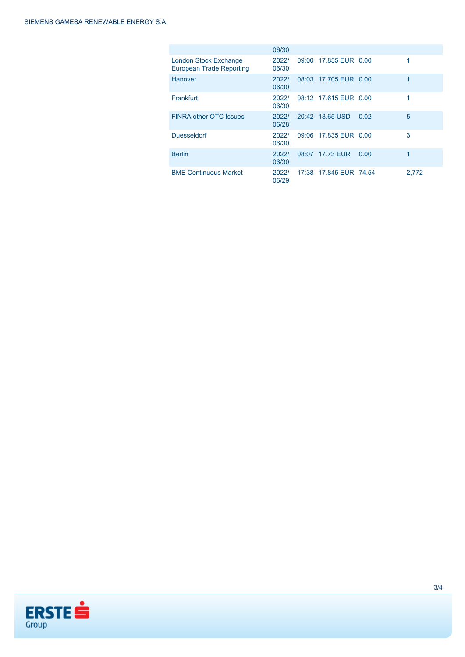|                                                                 | 06/30          |                        |      |             |
|-----------------------------------------------------------------|----------------|------------------------|------|-------------|
| <b>London Stock Exchange</b><br><b>European Trade Reporting</b> | 2022/<br>06/30 | 09:00 17.855 EUR 0.00  |      | $\mathbf 1$ |
| Hanover                                                         | 2022/<br>06/30 | 08:03 17.705 EUR 0.00  |      | 1           |
| Frankfurt                                                       | 2022/<br>06/30 | 08:12 17.615 EUR 0.00  |      | 1           |
| <b>FINRA other OTC Issues</b>                                   | 2022/<br>06/28 | 20:42 18.65 USD        | 0.02 | 5           |
| <b>Duesseldorf</b>                                              | 2022/<br>06/30 | 09:06 17.835 EUR 0.00  |      | 3           |
| <b>Berlin</b>                                                   | 2022/<br>06/30 | 08:07 17.73 EUR        | 0.00 | 1           |
| <b>BME Continuous Market</b>                                    | 2022/<br>06/29 | 17:38 17.845 EUR 74.54 |      | 2.772       |